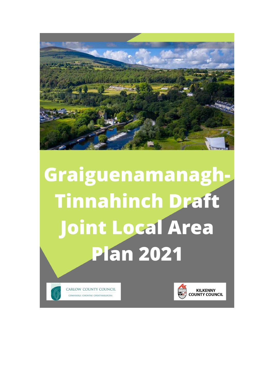

# Graiguenamanagh-**Tinnahinch Draft** Joint Local Area **Plan 2021**



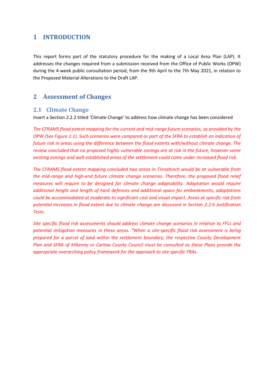# **1 INTRODUCTION**

This report forms part of the statutory procedure for the making of a Local Area Plan (LAP). It addresses the changes required from a submission received from the Office of Public Works (OPW) during the 4-week public consultation period, from the 9th April to the 7th May 2021, in relation to the Proposed Material Alterations to the Draft LAP.

# **2 Assessment of Changes**

### **2.1 Climate Change**

Insert a Section 2.2.2 titled 'Climate Change' to address how climate change has been considered

*The CFRAMS flood extent mapping for the current and mid-range future scenarios, as provided by the OPW (See Figure 2.1). Such scenarios were compared as part of the SFRA to establish an indication of future risk in areas using the difference between the flood extents with/without climate change. The review concluded that no proposed highly vulnerable zonings are at risk in the future, however some existing zonings and well-established areas of the settlement could come under increased flood risk.* 

*The CFRAMS flood extent mapping concluded two areas in Tinnahinch would be at vulnerable from the mid-range and high-end future climate change scenarios. Therefore, the proposed flood relief measures will require to be designed for climate change adaptability. Adaptation would require additional height and length of hard defences and additional space for embankments, adaptations could be accommodated at moderate to significant cost and visual impact. Areas at specific risk from potential increases in flood extent due to climate change are discussed in Section 2.2.6 Justification Tests.* 

*Site specific flood risk assessments should address climate change scenarios in relation to FFLs and potential mitigation measures in these areas. "When a site-specific flood risk assessment is being prepared for a parcel of land within the settlement boundary, the respective County Development Plan and SFRA of Kilkenny or Carlow County Council must be consulted as these Plans provide the appropriate overarching policy framework for the approach to site specific FRAs.*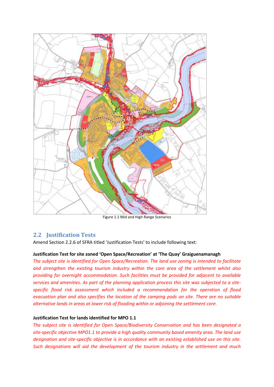

Figure 1.1 Mid and High Range Scenarios

### **2.2 Justification Tests**

Amend Section 2.2.6 of SFRA titled 'Justification Tests' to include following text:

#### **Justification Test for site zoned 'Open Space/Recreation' at 'The Quay' Graiguenamanagh**

*The subject site is identified for Open Space/Recreation. The land use zoning is intended to facilitate and strengthen the existing tourism industry within the core area of the settlement whilst also providing for overnight accommodation. Such facilities must be provided for adjacent to available services and amenities. As part of the planning application process this site was subjected to a sitespecific flood risk assessment which included a recommendation for the operation of flood evacuation plan and also specifies the location of the camping pods on site. There are no suitable alternative lands in areas at lower risk of flooding within or adjoining the settlement core.* 

#### **Justification Test for lands identified for MPO 1.1**

*The subject site is identified for Open Space/Biodiversity Conservation and has been designated a site-specific objective MPO1.1 to provide a high quality community based amenity area. The land use designation and site-specific objective is in accordance with an existing established use on this site. Such designations will aid the development of the tourism industry in the settlement and much*